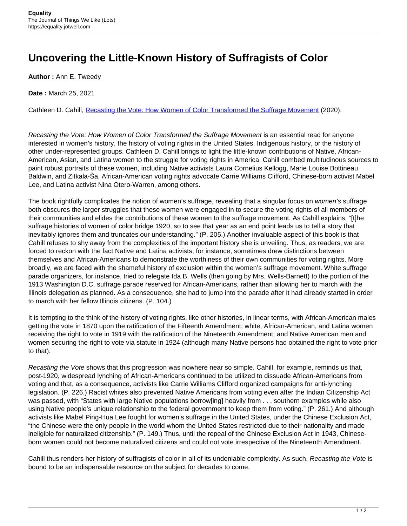## **Uncovering the Little-Known History of Suffragists of Color**

**Author :** Ann E. Tweedy

**Date :** March 25, 2021

Cathleen D. Cahill, [Recasting the Vote: How Women of Color Transformed the Suffrage Movement](https://uncpress.org/book/9781469659329/recasting-the-vote/) (2020).

Recasting the Vote: How Women of Color Transformed the Suffrage Movement is an essential read for anyone interested in women's history, the history of voting rights in the United States, Indigenous history, or the history of other under-represented groups. Cathleen D. Cahill brings to light the little-known contributions of Native, African-American, Asian, and Latina women to the struggle for voting rights in America. Cahill combed multitudinous sources to paint robust portraits of these women, including Native activists Laura Cornelius Kellogg, Marie Louise Bottineau Baldwin, and Zitkala-Ša, African-American voting rights advocate Carrie Williams Clifford, Chinese-born activist Mabel Lee, and Latina activist Nina Otero-Warren, among others.

The book rightfully complicates the notion of women's suffrage, revealing that a singular focus on women's suffrage both obscures the larger struggles that these women were engaged in to secure the voting rights of all members of their communities and elides the contributions of these women to the suffrage movement. As Cahill explains, "[t]he suffrage histories of women of color bridge 1920, so to see that year as an end point leads us to tell a story that inevitably ignores them and truncates our understanding." (P. 205.) Another invaluable aspect of this book is that Cahill refuses to shy away from the complexities of the important history she is unveiling. Thus, as readers, we are forced to reckon with the fact Native and Latina activists, for instance, sometimes drew distinctions between themselves and African-Americans to demonstrate the worthiness of their own communities for voting rights. More broadly, we are faced with the shameful history of exclusion within the women's suffrage movement. White suffrage parade organizers, for instance, tried to relegate Ida B. Wells (then going by Mrs. Wells-Barnett) to the portion of the 1913 Washington D.C. suffrage parade reserved for African-Americans, rather than allowing her to march with the Illinois delegation as planned. As a consequence, she had to jump into the parade after it had already started in order to march with her fellow Illinois citizens. (P. 104.)

It is tempting to the think of the history of voting rights, like other histories, in linear terms, with African-American males getting the vote in 1870 upon the ratification of the Fifteenth Amendment; white, African-American, and Latina women receiving the right to vote in 1919 with the ratification of the Nineteenth Amendment; and Native American men and women securing the right to vote via statute in 1924 (although many Native persons had obtained the right to vote prior to that).

Recasting the Vote shows that this progression was nowhere near so simple. Cahill, for example, reminds us that, post-1920, widespread lynching of African-Americans continued to be utilized to dissuade African-Americans from voting and that, as a consequence, activists like Carrie Williams Clifford organized campaigns for anti-lynching legislation. (P. 226.) Racist whites also prevented Native Americans from voting even after the Indian Citizenship Act was passed, with "States with large Native populations borrow[ing] heavily from . . . southern examples while also using Native people's unique relationship to the federal government to keep them from voting." (P. 261.) And although activists like Mabel Ping-Hua Lee fought for women's suffrage in the United States, under the Chinese Exclusion Act, "the Chinese were the only people in the world whom the United States restricted due to their nationality and made ineligible for naturalized citizenship." (P. 149.) Thus, until the repeal of the Chinese Exclusion Act in 1943, Chineseborn women could not become naturalized citizens and could not vote irrespective of the Nineteenth Amendment.

Cahill thus renders her history of suffragists of color in all of its undeniable complexity. As such, Recasting the Vote is bound to be an indispensable resource on the subject for decades to come.